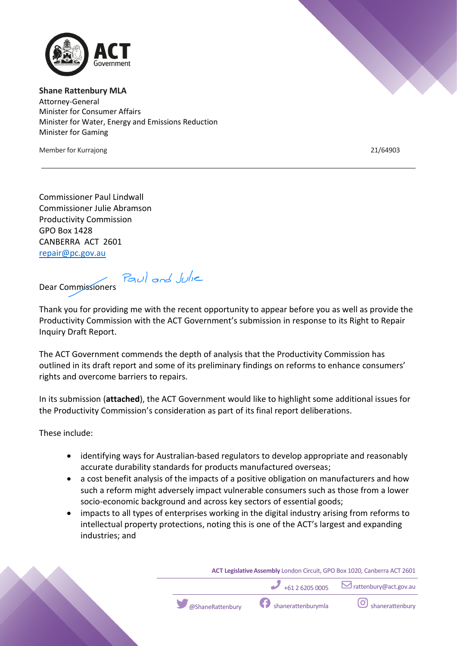

**Shane Rattenbury MLA** Attorney-General Minister for Consumer Affairs Minister for Water, Energy and Emissions Reduction Minister for Gaming

Member for Kurrajong 21/64903

Commissioner Paul Lindwall Commissioner Julie Abramson Productivity Commission GPO Box 1428 CANBERRA ACT 2601 repair@pc.gov.au

Paul and Julie Dear Commissioners

Thank you for providing me with the recent opportunity to appear before you as well as provide the Productivity Commission with the ACT Government's submission in response to its Right to Repair Inquiry Draft Report.

The ACT Government commends the depth of analysis that the Productivity Commission has outlined in its draft report and some of its preliminary findings on reforms to enhance consumers' rights and overcome barriers to repairs.

In its submission (**attached**), the ACT Government would like to highlight some additional issues for the Productivity Commission's consideration as part of its final report deliberations.

These include:

- identifying ways for Australian-based regulators to develop appropriate and reasonably accurate durability standards for products manufactured overseas;
- a cost benefit analysis of the impacts of a positive obligation on manufacturers and how such a reform might adversely impact vulnerable consumers such as those from a lower socio-economic background and across key sectors of essential goods;
- impacts to all types of enterprises working in the digital industry arising from reforms to intellectual property protections, noting this is one of the ACT's largest and expanding industries; and

**ACT Legislative Assembly** London Circuit, GPO Box 1020, Canberra ACT 2601 +61 2 6205 0005 rattenbury@act.gov.au  $\circ$   $\circ$  ShaneRattenbury shanerattenburymla shanerattenbury